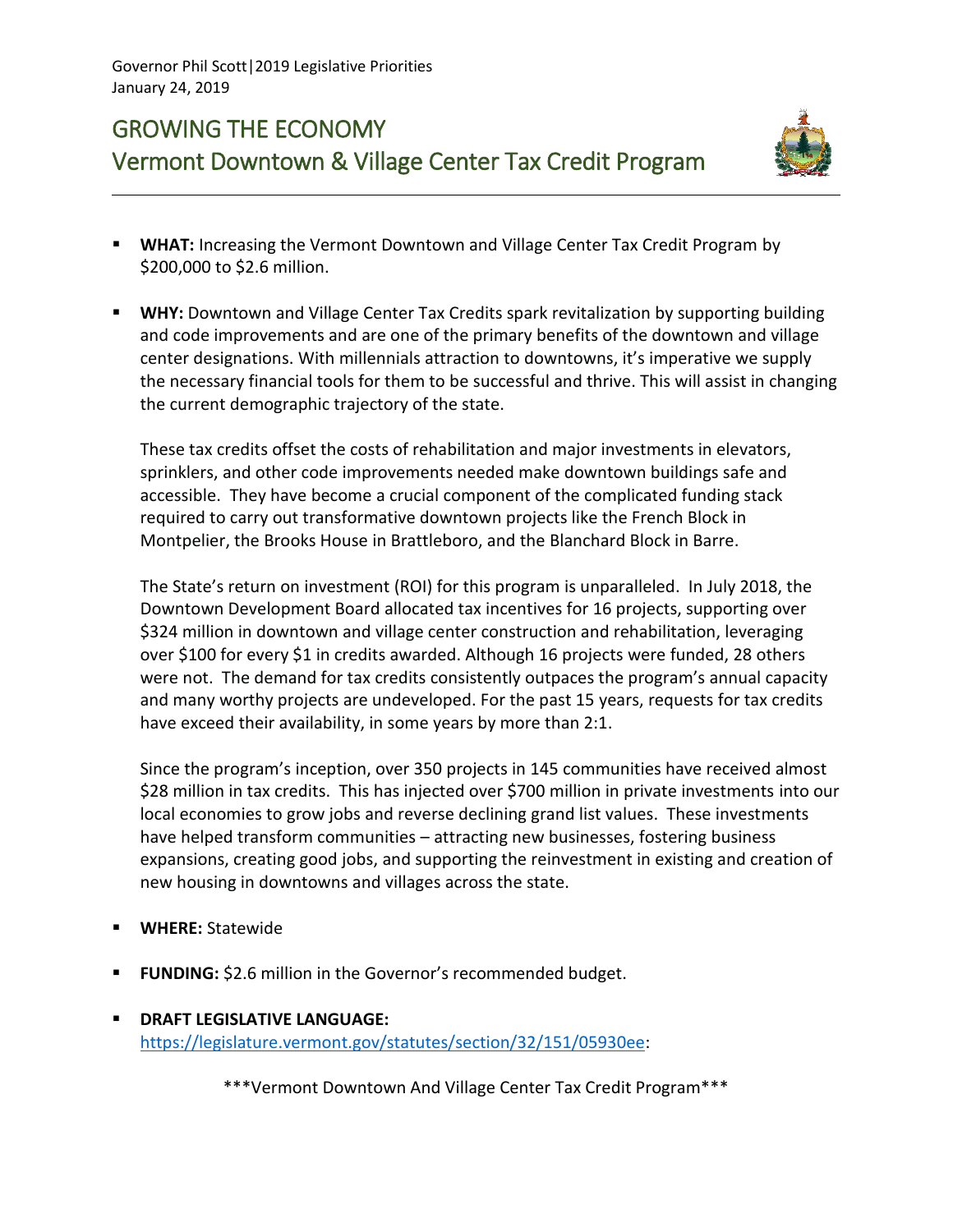## GROWING THE ECONOMY Vermont Downtown & Village Center Tax Credit Program



- **E** WHAT: Increasing the Vermont Downtown and Village Center Tax Credit Program by \$200,000 to \$2.6 million.
- **WHY:** Downtown and Village Center Tax Credits spark revitalization by supporting building and code improvements and are one of the primary benefits of the downtown and village center designations. With millennials attraction to downtowns, it's imperative we supply the necessary financial tools for them to be successful and thrive. This will assist in changing the current demographic trajectory of the state.

These tax credits offset the costs of rehabilitation and major investments in elevators, sprinklers, and other code improvements needed make downtown buildings safe and accessible. They have become a crucial component of the complicated funding stack required to carry out transformative downtown projects like the French Block in Montpelier, the Brooks House in Brattleboro, and the Blanchard Block in Barre.

The State's return on investment (ROI) for this program is unparalleled. In July 2018, the Downtown Development Board allocated tax incentives for 16 projects, supporting over \$324 million in downtown and village center construction and rehabilitation, leveraging over \$100 for every \$1 in credits awarded. Although 16 projects were funded, 28 others were not. The demand for tax credits consistently outpaces the program's annual capacity and many worthy projects are undeveloped. For the past 15 years, requests for tax credits have exceed their availability, in some years by more than 2:1.

Since the program's inception, over 350 projects in 145 communities have received almost \$28 million in tax credits. This has injected over \$700 million in private investments into our local economies to grow jobs and reverse declining grand list values. These investments have helped transform communities – attracting new businesses, fostering business expansions, creating good jobs, and supporting the reinvestment in existing and creation of new housing in downtowns and villages across the state.

- **WHERE: Statewide**
- **FUNDING:** \$2.6 million in the Governor's recommended budget.
- **DRAFT LEGISLATIVE LANGUAGE:**  [https://legislature.vermont.gov/statutes/section/32/151/05930ee:](https://legislature.vermont.gov/statutes/section/32/151/05930ee)

\*\*\*Vermont Downtown And Village Center Tax Credit Program\*\*\*